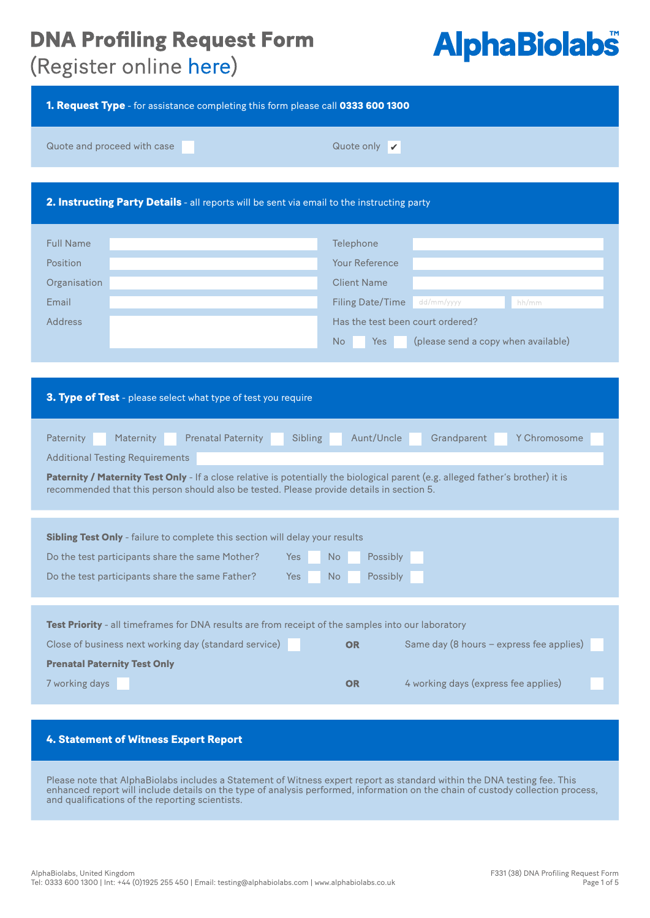## **AlphaBiolabs®**

(Register online here)

| 1. Request Type - for assistance completing this form please call 0333 600 1300                                                                                                                                                                                                                                                                                                       |                                                                                                                                                                                                           |  |  |  |
|---------------------------------------------------------------------------------------------------------------------------------------------------------------------------------------------------------------------------------------------------------------------------------------------------------------------------------------------------------------------------------------|-----------------------------------------------------------------------------------------------------------------------------------------------------------------------------------------------------------|--|--|--|
| Quote and proceed with case                                                                                                                                                                                                                                                                                                                                                           | Quote only $\mathbf{\nabla}$                                                                                                                                                                              |  |  |  |
| 2. Instructing Party Details - all reports will be sent via email to the instructing party                                                                                                                                                                                                                                                                                            |                                                                                                                                                                                                           |  |  |  |
| <b>Full Name</b><br>Position<br>Organisation<br>Email<br><b>Address</b>                                                                                                                                                                                                                                                                                                               | Telephone<br><b>Your Reference</b><br><b>Client Name</b><br><b>Filing Date/Time</b><br>dd/mm/yyyy<br>hh/mm<br>Has the test been court ordered?<br>No<br><b>Yes</b><br>(please send a copy when available) |  |  |  |
| 3. Type of Test - please select what type of test you require                                                                                                                                                                                                                                                                                                                         |                                                                                                                                                                                                           |  |  |  |
| <b>Prenatal Paternity</b><br>Aunt/Uncle<br>Maternity<br>Sibling<br>Grandparent<br>Y Chromosome<br>Paternity<br><b>Additional Testing Requirements</b><br>Paternity / Maternity Test Only - If a close relative is potentially the biological parent (e.g. alleged father's brother) it is<br>recommended that this person should also be tested. Please provide details in section 5. |                                                                                                                                                                                                           |  |  |  |
| Sibling Test Only - failure to complete this section will delay your results<br>Do the test participants share the same Mother?<br>Yes<br>Do the test participants share the same Father?<br>Yes                                                                                                                                                                                      | No.<br>Possibly<br>Possibly<br>No                                                                                                                                                                         |  |  |  |
| Test Priority - all timeframes for DNA results are from receipt of the samples into our laboratory<br>Close of business next working day (standard service)<br><b>Prenatal Paternity Test Only</b><br>7 working days                                                                                                                                                                  | Same day (8 hours $-$ express fee applies)<br><b>OR</b><br>4 working days (express fee applies)<br><b>OR</b>                                                                                              |  |  |  |
| 4. Statement of Witness Expert Report                                                                                                                                                                                                                                                                                                                                                 |                                                                                                                                                                                                           |  |  |  |
| Please note that AlphaBiolabs includes a Statement of Witness expert report as standard within the DNA testing fee. This<br>enhanced report will include details on the type of analysis performed, information on the chain of custody collection process,<br>and qualifications of the reporting scientists.                                                                        |                                                                                                                                                                                                           |  |  |  |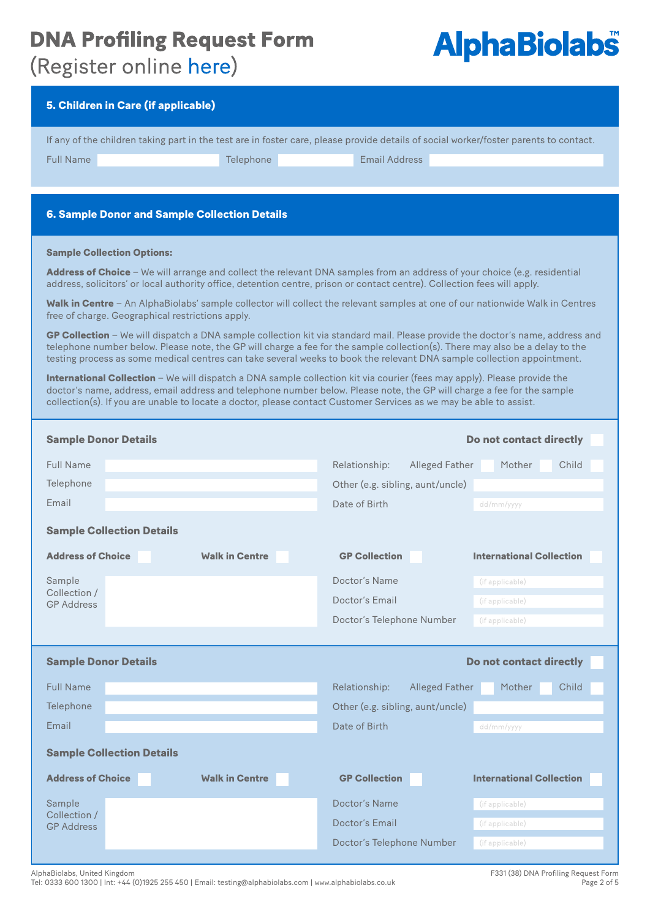### **DNA Profiling Request Form** (Register online here)

## **AlphaBiolabs®**

| 5. Children in Care (if applicable)                                                                                                                                                                                                                                                                                                                                                     |                                        |                                 |  |
|-----------------------------------------------------------------------------------------------------------------------------------------------------------------------------------------------------------------------------------------------------------------------------------------------------------------------------------------------------------------------------------------|----------------------------------------|---------------------------------|--|
| If any of the children taking part in the test are in foster care, please provide details of social worker/foster parents to contact.                                                                                                                                                                                                                                                   |                                        |                                 |  |
| <b>Full Name</b><br>Telephone                                                                                                                                                                                                                                                                                                                                                           | <b>Email Address</b>                   |                                 |  |
|                                                                                                                                                                                                                                                                                                                                                                                         |                                        |                                 |  |
|                                                                                                                                                                                                                                                                                                                                                                                         |                                        |                                 |  |
| <b>6. Sample Donor and Sample Collection Details</b>                                                                                                                                                                                                                                                                                                                                    |                                        |                                 |  |
| <b>Sample Collection Options:</b>                                                                                                                                                                                                                                                                                                                                                       |                                        |                                 |  |
| Address of Choice - We will arrange and collect the relevant DNA samples from an address of your choice (e.g. residential<br>address, solicitors' or local authority office, detention centre, prison or contact centre). Collection fees will apply.                                                                                                                                   |                                        |                                 |  |
| Walk in Centre - An AlphaBiolabs' sample collector will collect the relevant samples at one of our nationwide Walk in Centres<br>free of charge. Geographical restrictions apply.                                                                                                                                                                                                       |                                        |                                 |  |
| GP Collection - We will dispatch a DNA sample collection kit via standard mail. Please provide the doctor's name, address and<br>telephone number below. Please note, the GP will charge a fee for the sample collection(s). There may also be a delay to the<br>testing process as some medical centres can take several weeks to book the relevant DNA sample collection appointment. |                                        |                                 |  |
| <b>International Collection</b> – We will dispatch a DNA sample collection kit via courier (fees may apply). Please provide the<br>doctor's name, address, email address and telephone number below. Please note, the GP will charge a fee for the sample<br>collection(s). If you are unable to locate a doctor, please contact Customer Services as we may be able to assist.         |                                        |                                 |  |
|                                                                                                                                                                                                                                                                                                                                                                                         |                                        |                                 |  |
| <b>Sample Donor Details</b>                                                                                                                                                                                                                                                                                                                                                             |                                        | Do not contact directly         |  |
| <b>Full Name</b>                                                                                                                                                                                                                                                                                                                                                                        | Relationship:<br><b>Alleged Father</b> | Mother<br>Child                 |  |
| Telephone                                                                                                                                                                                                                                                                                                                                                                               | Other (e.g. sibling, aunt/uncle)       |                                 |  |
| Email                                                                                                                                                                                                                                                                                                                                                                                   |                                        |                                 |  |
|                                                                                                                                                                                                                                                                                                                                                                                         | Date of Birth                          | dd/mm/yyyy                      |  |
| <b>Sample Collection Details</b>                                                                                                                                                                                                                                                                                                                                                        |                                        |                                 |  |
| <b>Address of Choice</b><br><b>Walk in Centre</b>                                                                                                                                                                                                                                                                                                                                       | <b>GP Collection</b>                   | <b>International Collection</b> |  |
| Sample<br>Collection /                                                                                                                                                                                                                                                                                                                                                                  | Doctor's Name                          | (if applicable)                 |  |
| <b>GP Address</b>                                                                                                                                                                                                                                                                                                                                                                       | Doctor's Email                         | (if applicable)                 |  |
|                                                                                                                                                                                                                                                                                                                                                                                         | Doctor's Telephone Number              | (if applicable)                 |  |
|                                                                                                                                                                                                                                                                                                                                                                                         |                                        |                                 |  |
| <b>Sample Donor Details</b><br>Do not contact directly                                                                                                                                                                                                                                                                                                                                  |                                        |                                 |  |
| <b>Full Name</b>                                                                                                                                                                                                                                                                                                                                                                        | Relationship:<br><b>Alleged Father</b> | Child<br>Mother                 |  |
| Telephone                                                                                                                                                                                                                                                                                                                                                                               | Other (e.g. sibling, aunt/uncle)       |                                 |  |
| Email                                                                                                                                                                                                                                                                                                                                                                                   | Date of Birth                          | dd/mm/yyyy                      |  |
|                                                                                                                                                                                                                                                                                                                                                                                         |                                        |                                 |  |
| <b>Sample Collection Details</b>                                                                                                                                                                                                                                                                                                                                                        |                                        |                                 |  |
| <b>Address of Choice</b><br><b>Walk in Centre</b>                                                                                                                                                                                                                                                                                                                                       | <b>GP Collection</b>                   | <b>International Collection</b> |  |
| Sample                                                                                                                                                                                                                                                                                                                                                                                  | Doctor's Name                          | (if applicable)                 |  |
| Collection /<br><b>GP Address</b>                                                                                                                                                                                                                                                                                                                                                       | Doctor's Email                         | (if applicable)                 |  |
|                                                                                                                                                                                                                                                                                                                                                                                         | Doctor's Telephone Number              | (if applicable)                 |  |
|                                                                                                                                                                                                                                                                                                                                                                                         |                                        |                                 |  |

AlphaBiolabs, United Kingdom

Tel: 0333 600 1300 | Int: +44 (0)1925 255 450 | Email: testing@alphabiolabs.com | www.alphabiolabs.co.uk

F331 (38) DNA Profiling Request Form Page 2 of 5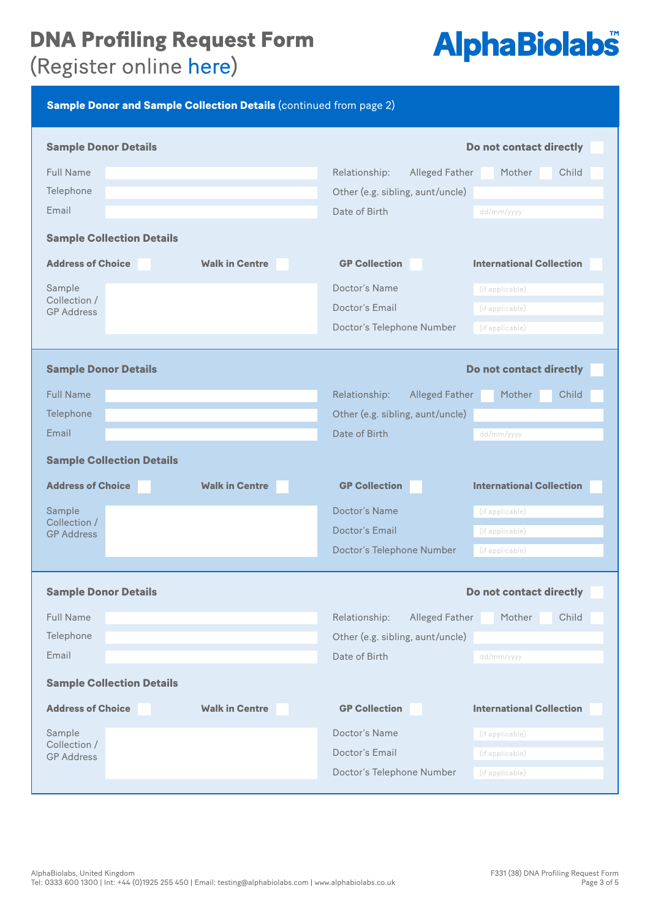## (Register online here)

## **AlphaBiolabs®**

| <b>Sample Donor and Sample Collection Details (continued from page 2)</b> |                                                           |  |
|---------------------------------------------------------------------------|-----------------------------------------------------------|--|
| <b>Sample Donor Details</b>                                               | Do not contact directly                                   |  |
| <b>Full Name</b>                                                          | Child<br>Relationship:<br><b>Alleged Father</b><br>Mother |  |
| Telephone                                                                 | Other (e.g. sibling, aunt/uncle)                          |  |
| Email                                                                     | Date of Birth<br>dd/mm/yyyy                               |  |
| <b>Sample Collection Details</b>                                          |                                                           |  |
| <b>Address of Choice</b><br><b>Walk in Centre</b>                         | <b>GP Collection</b><br><b>International Collection</b>   |  |
| Sample                                                                    | Doctor's Name<br>(if applicable)                          |  |
| Collection /<br><b>GP Address</b>                                         | Doctor's Email<br>(if applicable)                         |  |
|                                                                           | Doctor's Telephone Number<br>(if applicable)              |  |
| <b>Sample Donor Details</b>                                               | Do not contact directly                                   |  |
|                                                                           |                                                           |  |
| <b>Full Name</b>                                                          | Relationship:<br>Child<br><b>Alleged Father</b><br>Mother |  |
| Telephone                                                                 | Other (e.g. sibling, aunt/uncle)                          |  |
| Email                                                                     | Date of Birth<br>dd/mm/yyyy                               |  |
| <b>Sample Collection Details</b>                                          |                                                           |  |
| <b>Address of Choice</b><br><b>Walk in Centre</b>                         | <b>GP Collection</b><br><b>International Collection</b>   |  |
| Sample                                                                    | Doctor's Name<br>(if applicable)                          |  |
| Collection /<br><b>GP Address</b>                                         | <b>Doctor's Email</b><br>(if applicable)                  |  |
|                                                                           | Doctor's Telephone Number<br>(if applicable)              |  |
| <b>Sample Donor Details</b>                                               | Do not contact directly                                   |  |
| <b>Full Name</b>                                                          | Relationship:<br>Mother<br>Child<br><b>Alleged Father</b> |  |
| Telephone                                                                 | Other (e.g. sibling, aunt/uncle)                          |  |
| Email                                                                     | Date of Birth<br>dd/mm/yyyy                               |  |
| <b>Sample Collection Details</b>                                          |                                                           |  |
| <b>Address of Choice</b><br><b>Walk in Centre</b>                         | <b>GP Collection</b><br><b>International Collection</b>   |  |
| Sample                                                                    | Doctor's Name<br>(if applicable)                          |  |
| Collection /<br><b>GP Address</b>                                         | Doctor's Email<br>(if applicable)                         |  |
|                                                                           | Doctor's Telephone Number<br>(if applicable)              |  |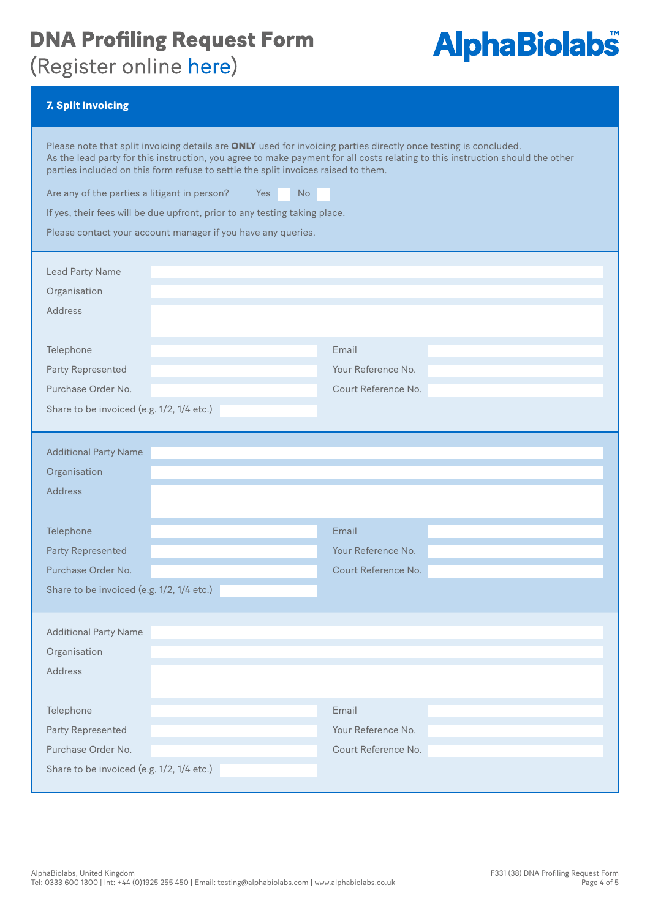## (Register online here)

# **AlphaBiolabs®**

#### 7. Split Invoicing

| Please note that split invoicing details are ONLY used for invoicing parties directly once testing is concluded.<br>parties included on this form refuse to settle the split invoices raised to them.<br>Are any of the parties a litigant in person?<br>Yes<br>If yes, their fees will be due upfront, prior to any testing taking place.<br>Please contact your account manager if you have any queries.<br>Lead Party Name<br>Organisation<br>Address | As the lead party for this instruction, you agree to make payment for all costs relating to this instruction should the other<br><b>No</b> |
|----------------------------------------------------------------------------------------------------------------------------------------------------------------------------------------------------------------------------------------------------------------------------------------------------------------------------------------------------------------------------------------------------------------------------------------------------------|--------------------------------------------------------------------------------------------------------------------------------------------|
| Telephone                                                                                                                                                                                                                                                                                                                                                                                                                                                | Email                                                                                                                                      |
| Party Represented                                                                                                                                                                                                                                                                                                                                                                                                                                        | Your Reference No.                                                                                                                         |
| Purchase Order No.                                                                                                                                                                                                                                                                                                                                                                                                                                       | Court Reference No.                                                                                                                        |
| Share to be invoiced (e.g. 1/2, 1/4 etc.)                                                                                                                                                                                                                                                                                                                                                                                                                |                                                                                                                                            |
|                                                                                                                                                                                                                                                                                                                                                                                                                                                          |                                                                                                                                            |
| <b>Additional Party Name</b>                                                                                                                                                                                                                                                                                                                                                                                                                             |                                                                                                                                            |
| Organisation                                                                                                                                                                                                                                                                                                                                                                                                                                             |                                                                                                                                            |
| <b>Address</b>                                                                                                                                                                                                                                                                                                                                                                                                                                           |                                                                                                                                            |
| Telephone                                                                                                                                                                                                                                                                                                                                                                                                                                                | Email                                                                                                                                      |
| <b>Party Represented</b>                                                                                                                                                                                                                                                                                                                                                                                                                                 | Your Reference No.                                                                                                                         |
| Purchase Order No.                                                                                                                                                                                                                                                                                                                                                                                                                                       | Court Reference No.                                                                                                                        |
| Share to be invoiced (e.g. 1/2, 1/4 etc.)                                                                                                                                                                                                                                                                                                                                                                                                                |                                                                                                                                            |
| <b>Additional Party Name</b>                                                                                                                                                                                                                                                                                                                                                                                                                             |                                                                                                                                            |
| Organisation                                                                                                                                                                                                                                                                                                                                                                                                                                             |                                                                                                                                            |
| Address                                                                                                                                                                                                                                                                                                                                                                                                                                                  |                                                                                                                                            |
|                                                                                                                                                                                                                                                                                                                                                                                                                                                          |                                                                                                                                            |
| Telephone                                                                                                                                                                                                                                                                                                                                                                                                                                                | Email                                                                                                                                      |
| Party Represented                                                                                                                                                                                                                                                                                                                                                                                                                                        | Your Reference No.                                                                                                                         |
| Purchase Order No.                                                                                                                                                                                                                                                                                                                                                                                                                                       | Court Reference No.                                                                                                                        |
| Share to be invoiced (e.g. 1/2, 1/4 etc.)                                                                                                                                                                                                                                                                                                                                                                                                                |                                                                                                                                            |